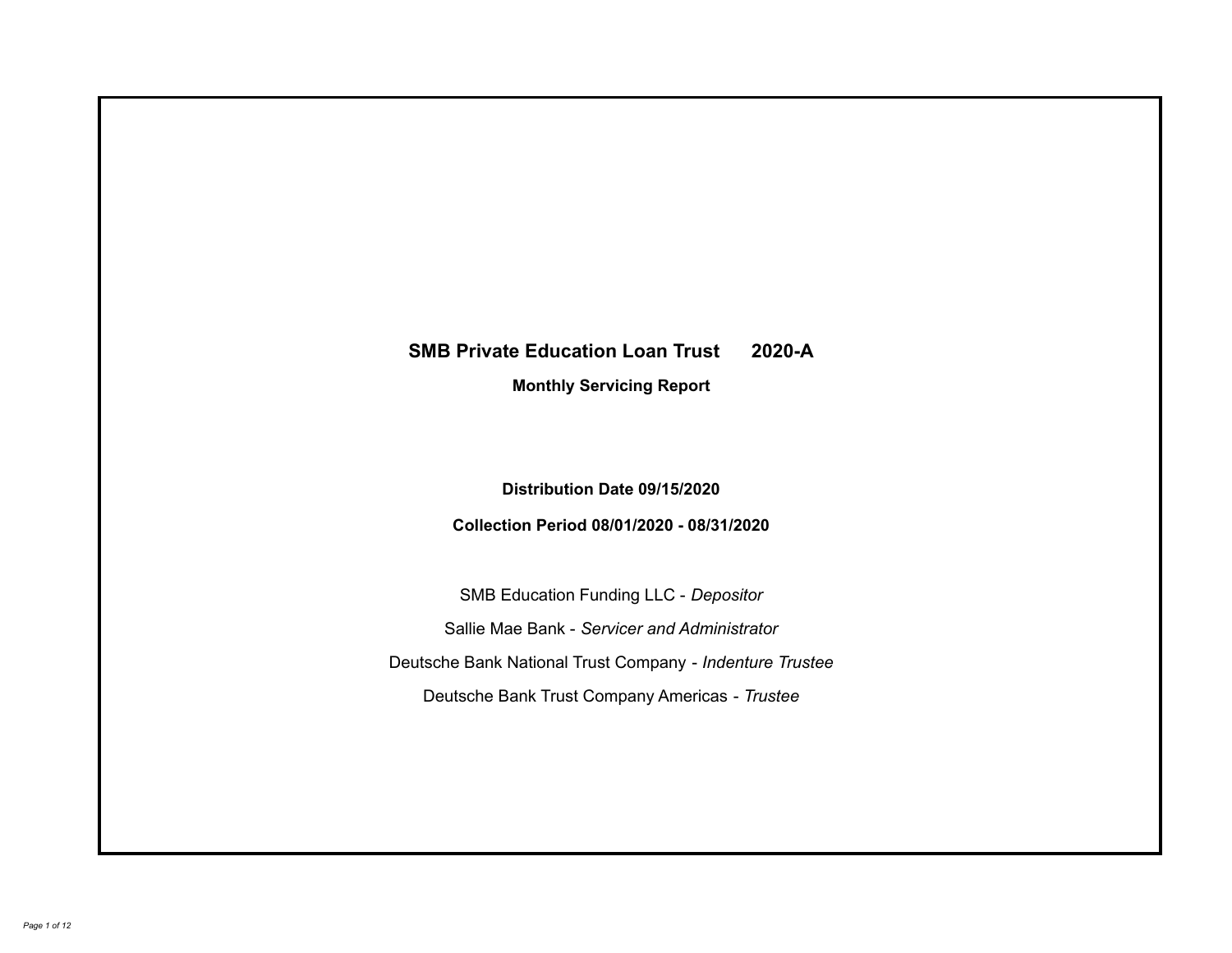# **SMB Private Education Loan Trust 2020-A Monthly Servicing Report**

**Distribution Date 09/15/2020**

**Collection Period 08/01/2020 - 08/31/2020**

SMB Education Funding LLC - *Depositor* Sallie Mae Bank - *Servicer and Administrator* Deutsche Bank National Trust Company - *Indenture Trustee* Deutsche Bank Trust Company Americas - *Trustee*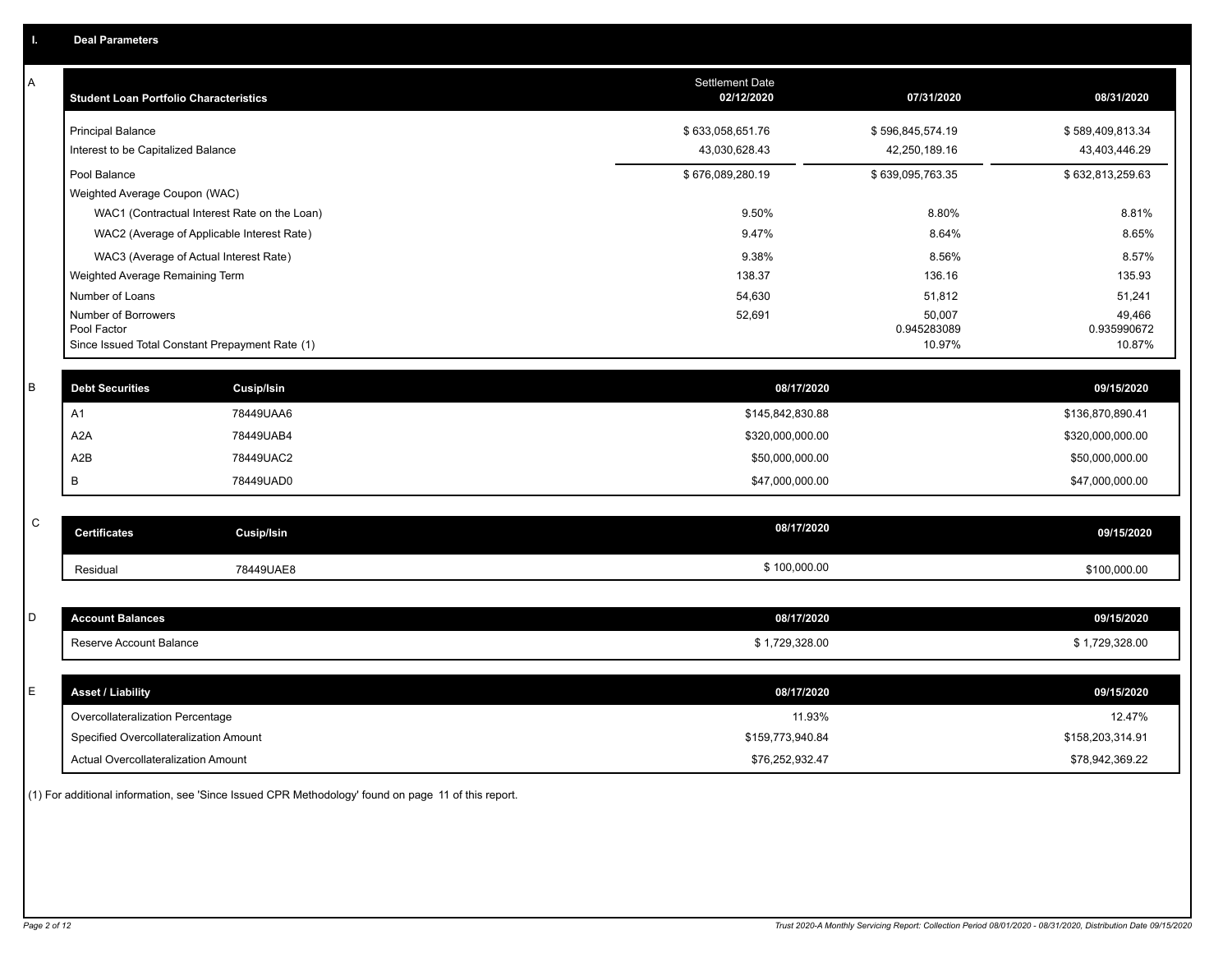| Α | <b>Student Loan Portfolio Characteristics</b>   |                                              | <b>Settlement Date</b><br>02/12/2020 | 07/31/2020            | 08/31/2020            |
|---|-------------------------------------------------|----------------------------------------------|--------------------------------------|-----------------------|-----------------------|
|   | <b>Principal Balance</b>                        |                                              | \$633,058,651.76                     | \$596,845,574.19      | \$589,409,813.34      |
|   | Interest to be Capitalized Balance              |                                              | 43,030,628.43                        | 42,250,189.16         | 43,403,446.29         |
|   | Pool Balance                                    |                                              | \$676,089,280.19                     | \$639,095,763.35      | \$632,813,259.63      |
|   | Weighted Average Coupon (WAC)                   |                                              |                                      |                       |                       |
|   |                                                 | WAC1 (Contractual Interest Rate on the Loan) | 9.50%                                | 8.80%                 | 8.81%                 |
|   |                                                 | WAC2 (Average of Applicable Interest Rate)   | 9.47%                                | 8.64%                 | 8.65%                 |
|   | WAC3 (Average of Actual Interest Rate)          |                                              | 9.38%                                | 8.56%                 | 8.57%                 |
|   | Weighted Average Remaining Term                 |                                              | 138.37                               | 136.16                | 135.93                |
|   | Number of Loans                                 |                                              | 54,630                               | 51,812                | 51,241                |
|   | Number of Borrowers<br>Pool Factor              |                                              | 52,691                               | 50,007<br>0.945283089 | 49,466<br>0.935990672 |
|   | Since Issued Total Constant Prepayment Rate (1) |                                              |                                      | 10.97%                | 10.87%                |
|   |                                                 |                                              |                                      |                       |                       |
| В | <b>Debt Securities</b>                          | <b>Cusip/Isin</b>                            | 08/17/2020                           |                       | 09/15/2020            |
|   | A <sub>1</sub>                                  | 78449UAA6                                    | \$145,842,830.88                     |                       | \$136,870,890.41      |
|   | A <sub>2</sub> A                                | 78449UAB4                                    | \$320,000,000.00                     |                       | \$320,000,000.00      |
|   | A2B                                             | 78449UAC2                                    | \$50,000,000.00                      |                       | \$50,000,000.00       |
|   | В                                               | 78449UAD0                                    | \$47,000,000.00                      |                       | \$47,000,000.00       |
|   |                                                 |                                              |                                      |                       |                       |
| C | <b>Certificates</b>                             | <b>Cusip/Isin</b>                            | 08/17/2020                           |                       | 09/15/2020            |
|   | Residual                                        | 78449UAE8                                    | \$100,000.00                         |                       | \$100,000.00          |
|   |                                                 |                                              |                                      |                       |                       |
| D | <b>Account Balances</b>                         |                                              | 08/17/2020                           |                       | 09/15/2020            |
|   | Reserve Account Balance                         |                                              | \$1,729,328.00                       |                       | \$1,729,328.00        |
|   |                                                 |                                              |                                      |                       |                       |
| E | <b>Asset / Liability</b>                        |                                              | 08/17/2020                           |                       | 09/15/2020            |
|   | Overcollateralization Percentage                |                                              | 11.93%                               |                       | 12.47%                |
|   | Specified Overcollateralization Amount          |                                              | \$159,773,940.84                     |                       | \$158,203,314.91      |
|   | <b>Actual Overcollateralization Amount</b>      |                                              | \$76,252,932.47                      |                       | \$78,942,369.22       |

(1) For additional information, see 'Since Issued CPR Methodology' found on page 11 of this report.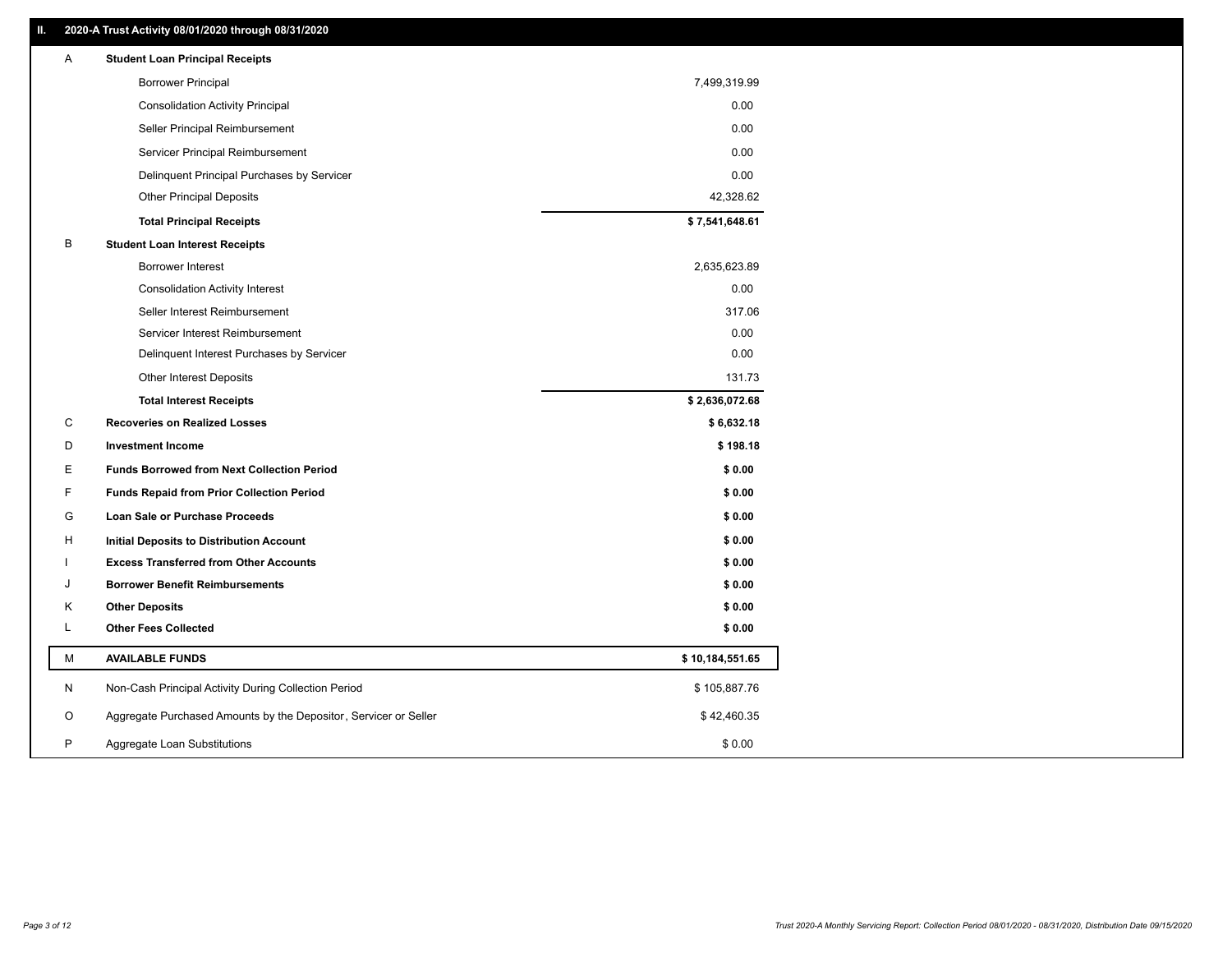| Α | <b>Student Loan Principal Receipts</b>                           |                 |
|---|------------------------------------------------------------------|-----------------|
|   | <b>Borrower Principal</b>                                        | 7,499,319.99    |
|   | <b>Consolidation Activity Principal</b>                          | 0.00            |
|   | Seller Principal Reimbursement                                   | 0.00            |
|   | Servicer Principal Reimbursement                                 | 0.00            |
|   | Delinquent Principal Purchases by Servicer                       | 0.00            |
|   | <b>Other Principal Deposits</b>                                  | 42,328.62       |
|   | <b>Total Principal Receipts</b>                                  | \$7,541,648.61  |
| В | <b>Student Loan Interest Receipts</b>                            |                 |
|   | Borrower Interest                                                | 2,635,623.89    |
|   | <b>Consolidation Activity Interest</b>                           | 0.00            |
|   | Seller Interest Reimbursement                                    | 317.06          |
|   | Servicer Interest Reimbursement                                  | 0.00            |
|   | Delinquent Interest Purchases by Servicer                        | 0.00            |
|   | Other Interest Deposits                                          | 131.73          |
|   | <b>Total Interest Receipts</b>                                   | \$2,636,072.68  |
| C | <b>Recoveries on Realized Losses</b>                             | \$6,632.18      |
| D | <b>Investment Income</b>                                         | \$198.18        |
| E | <b>Funds Borrowed from Next Collection Period</b>                | \$0.00          |
| F | <b>Funds Repaid from Prior Collection Period</b>                 | \$0.00          |
| G | <b>Loan Sale or Purchase Proceeds</b>                            | \$0.00          |
| H | Initial Deposits to Distribution Account                         | \$0.00          |
|   | <b>Excess Transferred from Other Accounts</b>                    | \$0.00          |
| J | <b>Borrower Benefit Reimbursements</b>                           | \$0.00          |
| Κ | <b>Other Deposits</b>                                            | \$0.00          |
| L | <b>Other Fees Collected</b>                                      | \$0.00          |
| М | <b>AVAILABLE FUNDS</b>                                           | \$10,184,551.65 |
| N | Non-Cash Principal Activity During Collection Period             | \$105,887.76    |
| O | Aggregate Purchased Amounts by the Depositor, Servicer or Seller | \$42,460.35     |
| P | Aggregate Loan Substitutions                                     | \$0.00          |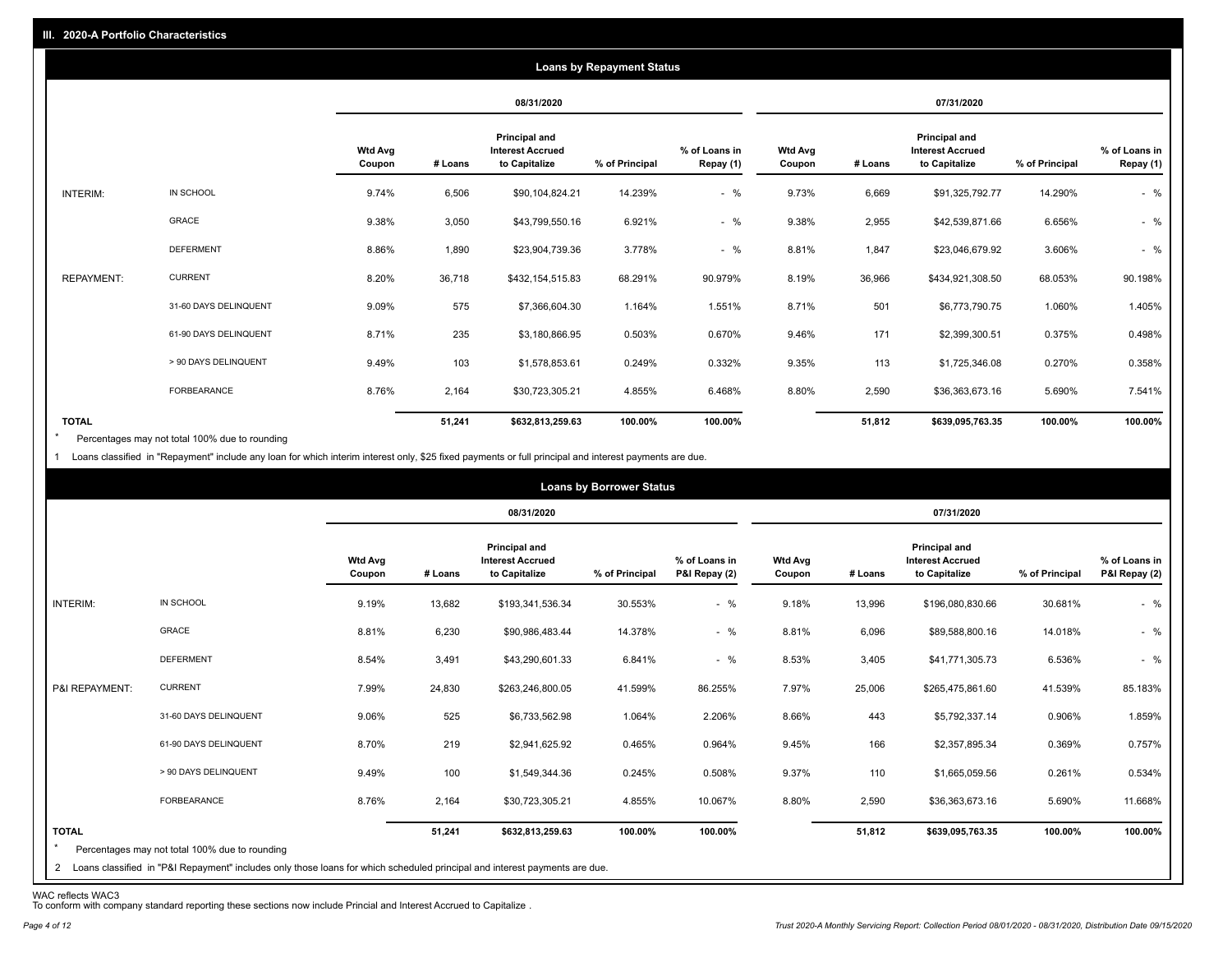|                   |                       |                          |         |                                                           | <b>Loans by Repayment Status</b> |                            |                          |         |                                                           |                |                            |
|-------------------|-----------------------|--------------------------|---------|-----------------------------------------------------------|----------------------------------|----------------------------|--------------------------|---------|-----------------------------------------------------------|----------------|----------------------------|
|                   |                       |                          |         | 08/31/2020                                                |                                  |                            |                          |         | 07/31/2020                                                |                |                            |
|                   |                       | <b>Wtd Avg</b><br>Coupon | # Loans | Principal and<br><b>Interest Accrued</b><br>to Capitalize | % of Principal                   | % of Loans in<br>Repay (1) | <b>Wtd Avg</b><br>Coupon | # Loans | Principal and<br><b>Interest Accrued</b><br>to Capitalize | % of Principal | % of Loans in<br>Repay (1) |
| INTERIM:          | IN SCHOOL             | 9.74%                    | 6,506   | \$90,104,824.21                                           | 14.239%                          | $-$ %                      | 9.73%                    | 6,669   | \$91,325,792.77                                           | 14.290%        | $-$ %                      |
|                   | GRACE                 | 9.38%                    | 3,050   | \$43,799,550.16                                           | 6.921%                           | $-$ %                      | 9.38%                    | 2,955   | \$42,539,871.66                                           | 6.656%         | $-$ %                      |
|                   | <b>DEFERMENT</b>      | 8.86%                    | 1,890   | \$23,904,739.36                                           | 3.778%                           | $-$ %                      | 8.81%                    | 1,847   | \$23,046,679.92                                           | 3.606%         | $-$ %                      |
| <b>REPAYMENT:</b> | <b>CURRENT</b>        | 8.20%                    | 36,718  | \$432,154,515.83                                          | 68.291%                          | 90.979%                    | 8.19%                    | 36,966  | \$434,921,308.50                                          | 68.053%        | 90.198%                    |
|                   | 31-60 DAYS DELINQUENT | 9.09%                    | 575     | \$7,366,604.30                                            | 1.164%                           | 1.551%                     | 8.71%                    | 501     | \$6,773,790.75                                            | 1.060%         | 1.405%                     |
|                   | 61-90 DAYS DELINQUENT | 8.71%                    | 235     | \$3,180,866.95                                            | 0.503%                           | 0.670%                     | 9.46%                    | 171     | \$2,399,300.51                                            | 0.375%         | 0.498%                     |
|                   | > 90 DAYS DELINQUENT  | 9.49%                    | 103     | \$1,578,853.61                                            | 0.249%                           | 0.332%                     | 9.35%                    | 113     | \$1,725,346.08                                            | 0.270%         | 0.358%                     |
|                   | FORBEARANCE           | 8.76%                    | 2,164   | \$30,723,305.21                                           | 4.855%                           | 6.468%                     | 8.80%                    | 2,590   | \$36,363,673.16                                           | 5.690%         | 7.541%                     |
| <b>TOTAL</b>      |                       |                          | 51,241  | \$632,813,259.63                                          | 100.00%                          | 100.00%                    |                          | 51,812  | \$639,095,763.35                                          | 100.00%        | 100.00%                    |

Percentages may not total 100% due to rounding \*

1 Loans classified in "Repayment" include any loan for which interim interest only, \$25 fixed payments or full principal and interest payments are due.

|                         |                                                                                                                              |                          |         |                                                           | <b>Loans by Borrower Status</b> |                                |                          |         |                                                                  |                |                                |
|-------------------------|------------------------------------------------------------------------------------------------------------------------------|--------------------------|---------|-----------------------------------------------------------|---------------------------------|--------------------------------|--------------------------|---------|------------------------------------------------------------------|----------------|--------------------------------|
|                         |                                                                                                                              |                          |         | 08/31/2020                                                |                                 |                                |                          |         | 07/31/2020                                                       |                |                                |
|                         |                                                                                                                              | <b>Wtd Avg</b><br>Coupon | # Loans | Principal and<br><b>Interest Accrued</b><br>to Capitalize | % of Principal                  | % of Loans in<br>P&I Repay (2) | <b>Wtd Avg</b><br>Coupon | # Loans | <b>Principal and</b><br><b>Interest Accrued</b><br>to Capitalize | % of Principal | % of Loans in<br>P&I Repay (2) |
| INTERIM:                | IN SCHOOL                                                                                                                    | 9.19%                    | 13,682  | \$193,341,536.34                                          | 30.553%                         | $-$ %                          | 9.18%                    | 13,996  | \$196,080,830.66                                                 | 30.681%        | $-$ %                          |
|                         | <b>GRACE</b>                                                                                                                 | 8.81%                    | 6,230   | \$90,986,483.44                                           | 14.378%                         | $-$ %                          | 8.81%                    | 6,096   | \$89,588,800.16                                                  | 14.018%        | $-$ %                          |
|                         | <b>DEFERMENT</b>                                                                                                             | 8.54%                    | 3,491   | \$43,290,601.33                                           | 6.841%                          | $-$ %                          | 8.53%                    | 3,405   | \$41,771,305.73                                                  | 6.536%         | $-$ %                          |
| P&I REPAYMENT:          | <b>CURRENT</b>                                                                                                               | 7.99%                    | 24,830  | \$263,246,800.05                                          | 41.599%                         | 86.255%                        | 7.97%                    | 25,006  | \$265,475,861.60                                                 | 41.539%        | 85.183%                        |
|                         | 31-60 DAYS DELINQUENT                                                                                                        | 9.06%                    | 525     | \$6,733,562.98                                            | 1.064%                          | 2.206%                         | 8.66%                    | 443     | \$5,792,337.14                                                   | 0.906%         | 1.859%                         |
|                         | 61-90 DAYS DELINQUENT                                                                                                        | 8.70%                    | 219     | \$2,941,625.92                                            | 0.465%                          | 0.964%                         | 9.45%                    | 166     | \$2,357,895.34                                                   | 0.369%         | 0.757%                         |
|                         | > 90 DAYS DELINQUENT                                                                                                         | 9.49%                    | 100     | \$1,549,344.36                                            | 0.245%                          | 0.508%                         | 9.37%                    | 110     | \$1,665,059.56                                                   | 0.261%         | 0.534%                         |
|                         | FORBEARANCE                                                                                                                  | 8.76%                    | 2,164   | \$30,723,305.21                                           | 4.855%                          | 10.067%                        | 8.80%                    | 2,590   | \$36,363,673.16                                                  | 5.690%         | 11.668%                        |
| <b>TOTAL</b><br>$\star$ | Percentages may not total 100% due to rounding                                                                               |                          | 51,241  | \$632,813,259.63                                          | 100.00%                         | 100.00%                        |                          | 51,812  | \$639,095,763.35                                                 | 100.00%        | 100.00%                        |
|                         | 2 Loans classified in "P&I Repayment" includes only those loans for which scheduled principal and interest payments are due. |                          |         |                                                           |                                 |                                |                          |         |                                                                  |                |                                |

WAC reflects WAC3 To conform with company standard reporting these sections now include Princial and Interest Accrued to Capitalize .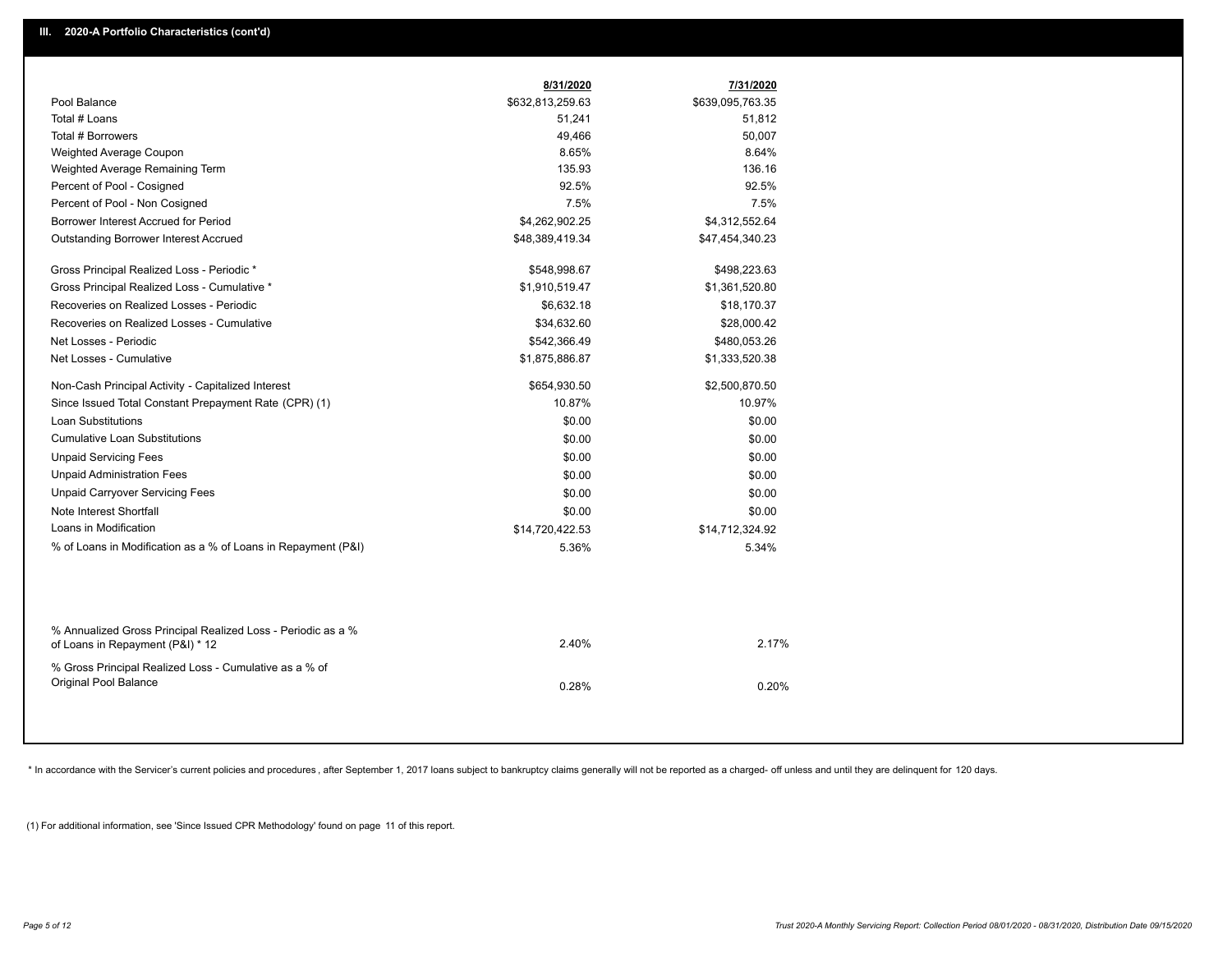|                                                                                                  | 8/31/2020        | 7/31/2020        |
|--------------------------------------------------------------------------------------------------|------------------|------------------|
| Pool Balance                                                                                     | \$632,813,259.63 | \$639,095,763.35 |
| Total # Loans                                                                                    | 51,241           | 51,812           |
| Total # Borrowers                                                                                | 49,466           | 50,007           |
| Weighted Average Coupon                                                                          | 8.65%            | 8.64%            |
| Weighted Average Remaining Term                                                                  | 135.93           | 136.16           |
| Percent of Pool - Cosigned                                                                       | 92.5%            | 92.5%            |
| Percent of Pool - Non Cosigned                                                                   | 7.5%             | 7.5%             |
| Borrower Interest Accrued for Period                                                             | \$4,262,902.25   | \$4,312,552.64   |
| Outstanding Borrower Interest Accrued                                                            | \$48,389,419.34  | \$47,454,340.23  |
| Gross Principal Realized Loss - Periodic *                                                       | \$548,998.67     | \$498,223.63     |
| Gross Principal Realized Loss - Cumulative *                                                     | \$1,910,519.47   | \$1,361,520.80   |
| Recoveries on Realized Losses - Periodic                                                         | \$6,632.18       | \$18,170.37      |
| Recoveries on Realized Losses - Cumulative                                                       | \$34,632.60      | \$28,000.42      |
| Net Losses - Periodic                                                                            | \$542,366.49     | \$480,053.26     |
| Net Losses - Cumulative                                                                          | \$1,875,886.87   | \$1,333,520.38   |
| Non-Cash Principal Activity - Capitalized Interest                                               | \$654,930.50     | \$2,500,870.50   |
| Since Issued Total Constant Prepayment Rate (CPR) (1)                                            | 10.87%           | 10.97%           |
| <b>Loan Substitutions</b>                                                                        | \$0.00           | \$0.00           |
| <b>Cumulative Loan Substitutions</b>                                                             | \$0.00           | \$0.00           |
| <b>Unpaid Servicing Fees</b>                                                                     | \$0.00           | \$0.00           |
| <b>Unpaid Administration Fees</b>                                                                | \$0.00           | \$0.00           |
| <b>Unpaid Carryover Servicing Fees</b>                                                           | \$0.00           | \$0.00           |
| Note Interest Shortfall                                                                          | \$0.00           | \$0.00           |
| Loans in Modification                                                                            | \$14,720,422.53  | \$14,712,324.92  |
| % of Loans in Modification as a % of Loans in Repayment (P&I)                                    | 5.36%            | 5.34%            |
|                                                                                                  |                  |                  |
| % Annualized Gross Principal Realized Loss - Periodic as a %<br>of Loans in Repayment (P&I) * 12 | 2.40%            | 2.17%            |
| % Gross Principal Realized Loss - Cumulative as a % of                                           |                  |                  |
| Original Pool Balance                                                                            | 0.28%            | 0.20%            |
|                                                                                                  |                  |                  |

\* In accordance with the Servicer's current policies and procedures, after September 1, 2017 loans subject to bankruptcy claims generally will not be reported as a charged- off unless and until they are delinquent for 120

(1) For additional information, see 'Since Issued CPR Methodology' found on page 11 of this report.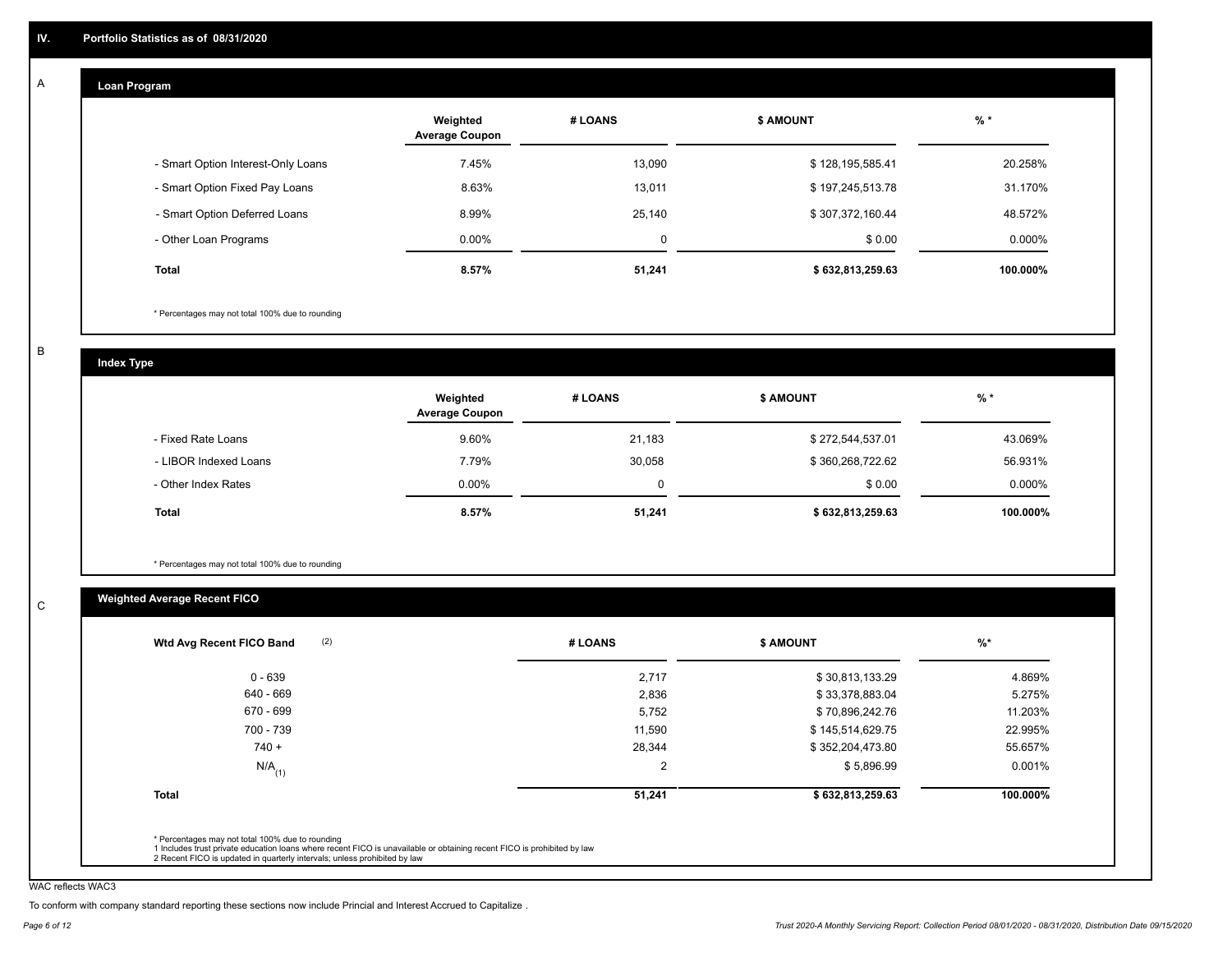#### **Loan Program**  A

|                                    | Weighted<br><b>Average Coupon</b> | # LOANS | <b>\$ AMOUNT</b> | $%$ *     |
|------------------------------------|-----------------------------------|---------|------------------|-----------|
| - Smart Option Interest-Only Loans | 7.45%                             | 13.090  | \$128,195,585.41 | 20.258%   |
| - Smart Option Fixed Pay Loans     | 8.63%                             | 13,011  | \$197,245,513.78 | 31.170%   |
| - Smart Option Deferred Loans      | 8.99%                             | 25.140  | \$307,372,160.44 | 48.572%   |
| - Other Loan Programs              | $0.00\%$                          | 0       | \$0.00           | $0.000\%$ |
| Total                              | 8.57%                             | 51,241  | \$632,813,259.63 | 100.000%  |

\* Percentages may not total 100% due to rounding

B

C

**Index Type**

|                       | Weighted<br><b>Average Coupon</b> | # LOANS  | <b>\$ AMOUNT</b> | $%$ *     |
|-----------------------|-----------------------------------|----------|------------------|-----------|
| - Fixed Rate Loans    | 9.60%                             | 21,183   | \$272,544,537.01 | 43.069%   |
| - LIBOR Indexed Loans | 7.79%                             | 30.058   | \$360,268,722.62 | 56.931%   |
| - Other Index Rates   | $0.00\%$                          | $\Omega$ | \$0.00           | $0.000\%$ |
| <b>Total</b>          | 8.57%                             | 51,241   | \$632,813,259.63 | 100.000%  |

\* Percentages may not total 100% due to rounding

## **Weighted Average Recent FICO**

| (2)<br>Wtd Avg Recent FICO Band | # LOANS        | <b>\$ AMOUNT</b> | $%$ *    |
|---------------------------------|----------------|------------------|----------|
| $0 - 639$                       | 2,717          | \$30,813,133.29  | 4.869%   |
| 640 - 669                       | 2,836          | \$33,378,883.04  | 5.275%   |
| 670 - 699                       | 5,752          | \$70,896,242.76  | 11.203%  |
| 700 - 739                       | 11,590         | \$145,514,629.75 | 22.995%  |
| $740 +$                         | 28,344         | \$352,204,473.80 | 55.657%  |
| $N/A$ <sub>(1)</sub>            | $\overline{2}$ | \$5,896.99       | 0.001%   |
| <b>Total</b>                    | 51,241         | \$632,813,259.63 | 100.000% |
|                                 |                |                  |          |

WAC reflects WAC3

To conform with company standard reporting these sections now include Princial and Interest Accrued to Capitalize .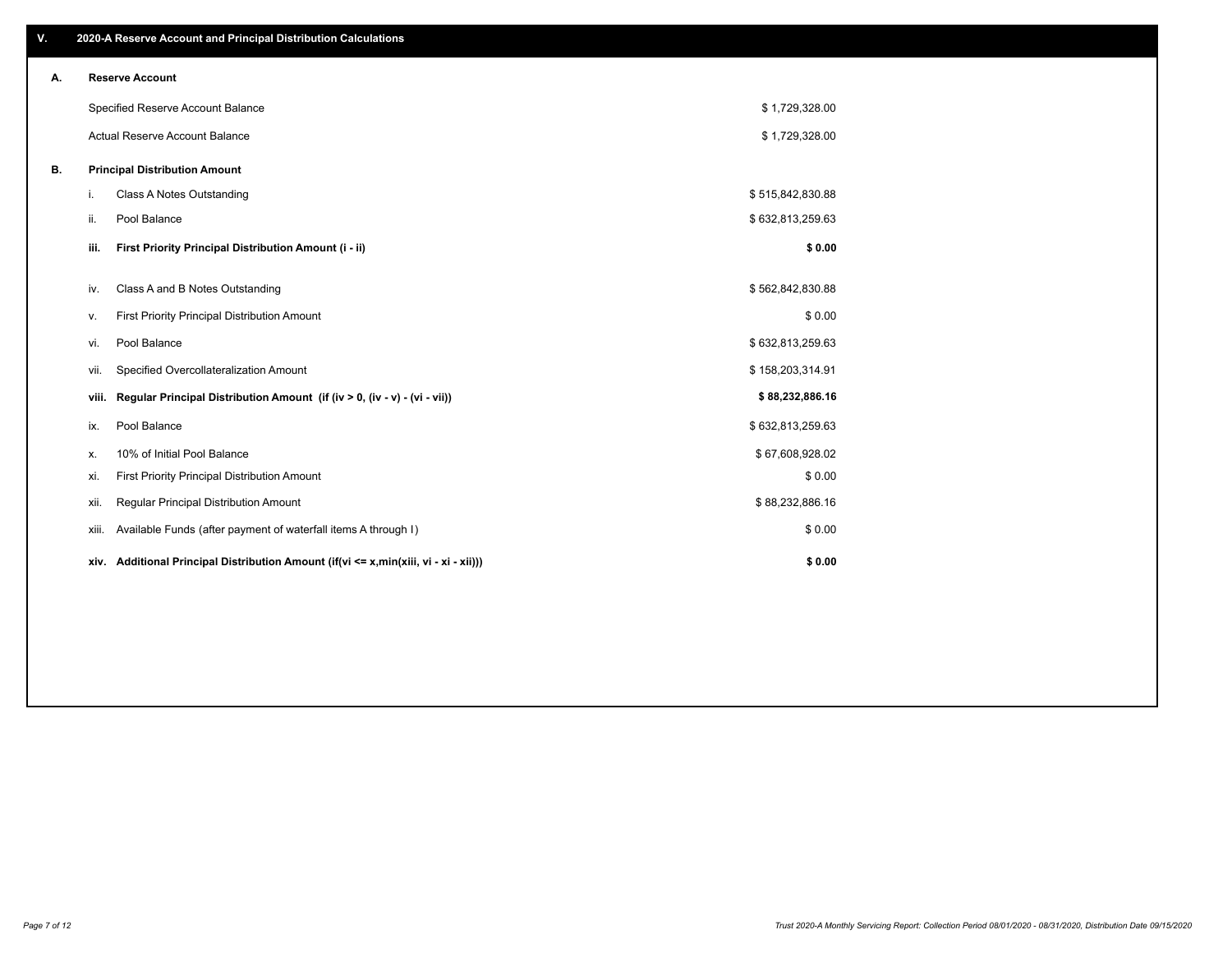| V. |       | 2020-A Reserve Account and Principal Distribution Calculations                       |                  |  |
|----|-------|--------------------------------------------------------------------------------------|------------------|--|
| Α. |       | <b>Reserve Account</b>                                                               |                  |  |
|    |       | Specified Reserve Account Balance                                                    | \$1,729,328.00   |  |
|    |       | Actual Reserve Account Balance                                                       | \$1,729,328.00   |  |
| В. |       | <b>Principal Distribution Amount</b>                                                 |                  |  |
|    | i.    | Class A Notes Outstanding                                                            | \$515,842,830.88 |  |
|    | ii.   | Pool Balance                                                                         | \$632,813,259.63 |  |
|    | iii.  | First Priority Principal Distribution Amount (i - ii)                                | \$0.00           |  |
|    | iv.   | Class A and B Notes Outstanding                                                      | \$562,842,830.88 |  |
|    | ٧.    | First Priority Principal Distribution Amount                                         | \$0.00           |  |
|    | vi.   | Pool Balance                                                                         | \$632,813,259.63 |  |
|    | vii.  | Specified Overcollateralization Amount                                               | \$158,203,314.91 |  |
|    | viii. | Regular Principal Distribution Amount (if (iv > 0, (iv - v) - (vi - vii))            | \$88,232,886.16  |  |
|    | ix.   | Pool Balance                                                                         | \$632,813,259.63 |  |
|    | х.    | 10% of Initial Pool Balance                                                          | \$67,608,928.02  |  |
|    | xi.   | First Priority Principal Distribution Amount                                         | \$0.00           |  |
|    | xii.  | Regular Principal Distribution Amount                                                | \$88,232,886.16  |  |
|    | xiii. | Available Funds (after payment of waterfall items A through I)                       | \$0.00           |  |
|    |       | xiv. Additional Principal Distribution Amount (if(vi <= x,min(xiii, vi - xi - xii))) | \$0.00           |  |
|    |       |                                                                                      |                  |  |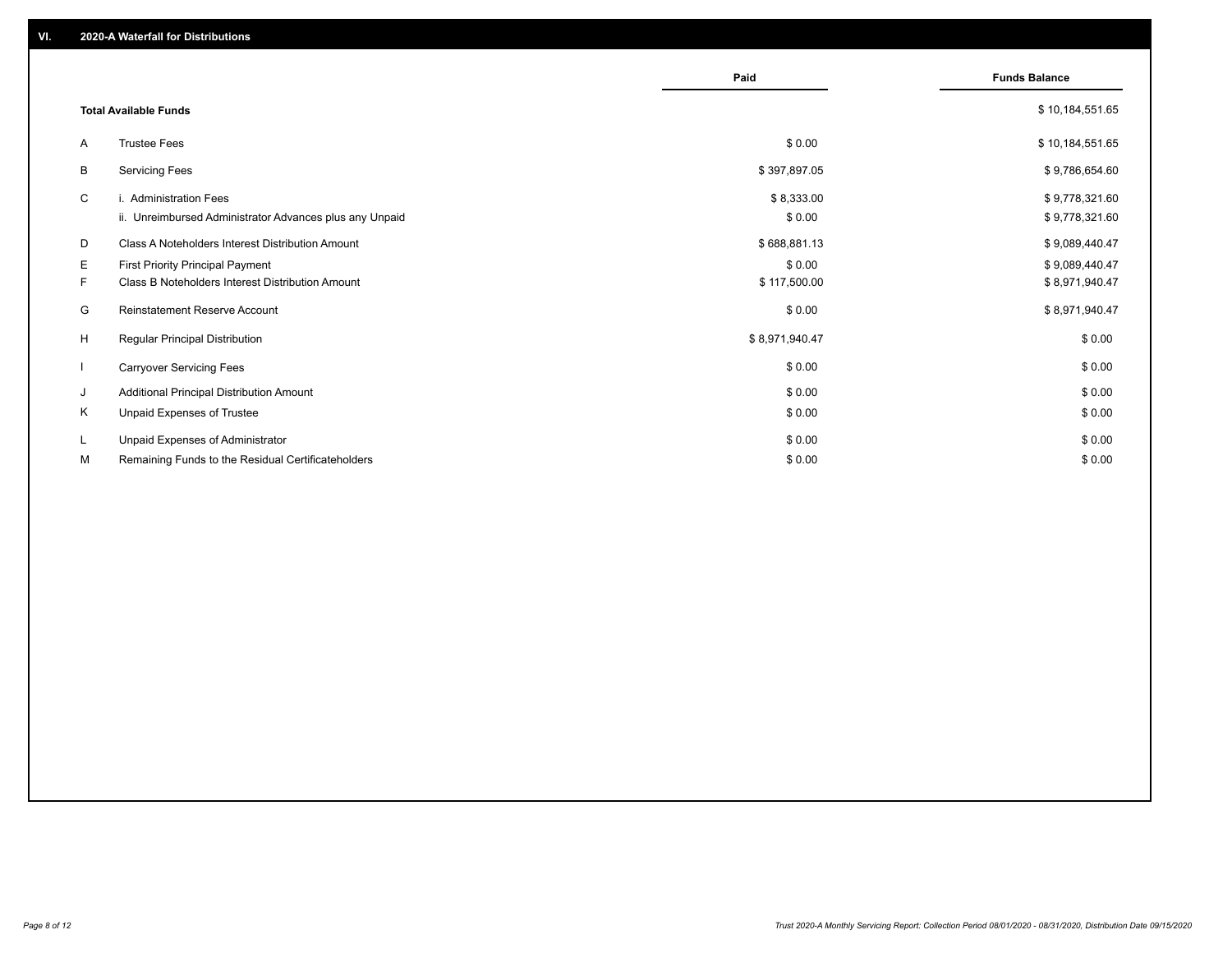|              |                                                                                             | Paid                   | <b>Funds Balance</b>             |
|--------------|---------------------------------------------------------------------------------------------|------------------------|----------------------------------|
|              | <b>Total Available Funds</b>                                                                |                        | \$10,184,551.65                  |
| A            | <b>Trustee Fees</b>                                                                         | \$0.00                 | \$10,184,551.65                  |
| В            | <b>Servicing Fees</b>                                                                       | \$397,897.05           | \$9,786,654.60                   |
| C            | i. Administration Fees<br>ii. Unreimbursed Administrator Advances plus any Unpaid           | \$8,333.00<br>\$0.00   | \$9,778,321.60<br>\$9,778,321.60 |
| D            | Class A Noteholders Interest Distribution Amount                                            | \$688,881.13           | \$9,089,440.47                   |
| E.<br>F.     | <b>First Priority Principal Payment</b><br>Class B Noteholders Interest Distribution Amount | \$0.00<br>\$117,500.00 | \$9,089,440.47<br>\$8,971,940.47 |
| G            | <b>Reinstatement Reserve Account</b>                                                        | \$0.00                 | \$8,971,940.47                   |
| H            | Regular Principal Distribution                                                              | \$8,971,940.47         | \$0.00                           |
| $\mathbf{I}$ | <b>Carryover Servicing Fees</b>                                                             | \$0.00                 | \$0.00                           |
| J            | Additional Principal Distribution Amount                                                    | \$0.00                 | \$0.00                           |
| Κ            | Unpaid Expenses of Trustee                                                                  | \$0.00                 | \$0.00                           |
| L            | Unpaid Expenses of Administrator                                                            | \$0.00                 | \$0.00                           |
| М            | Remaining Funds to the Residual Certificateholders                                          | \$0.00                 | \$0.00                           |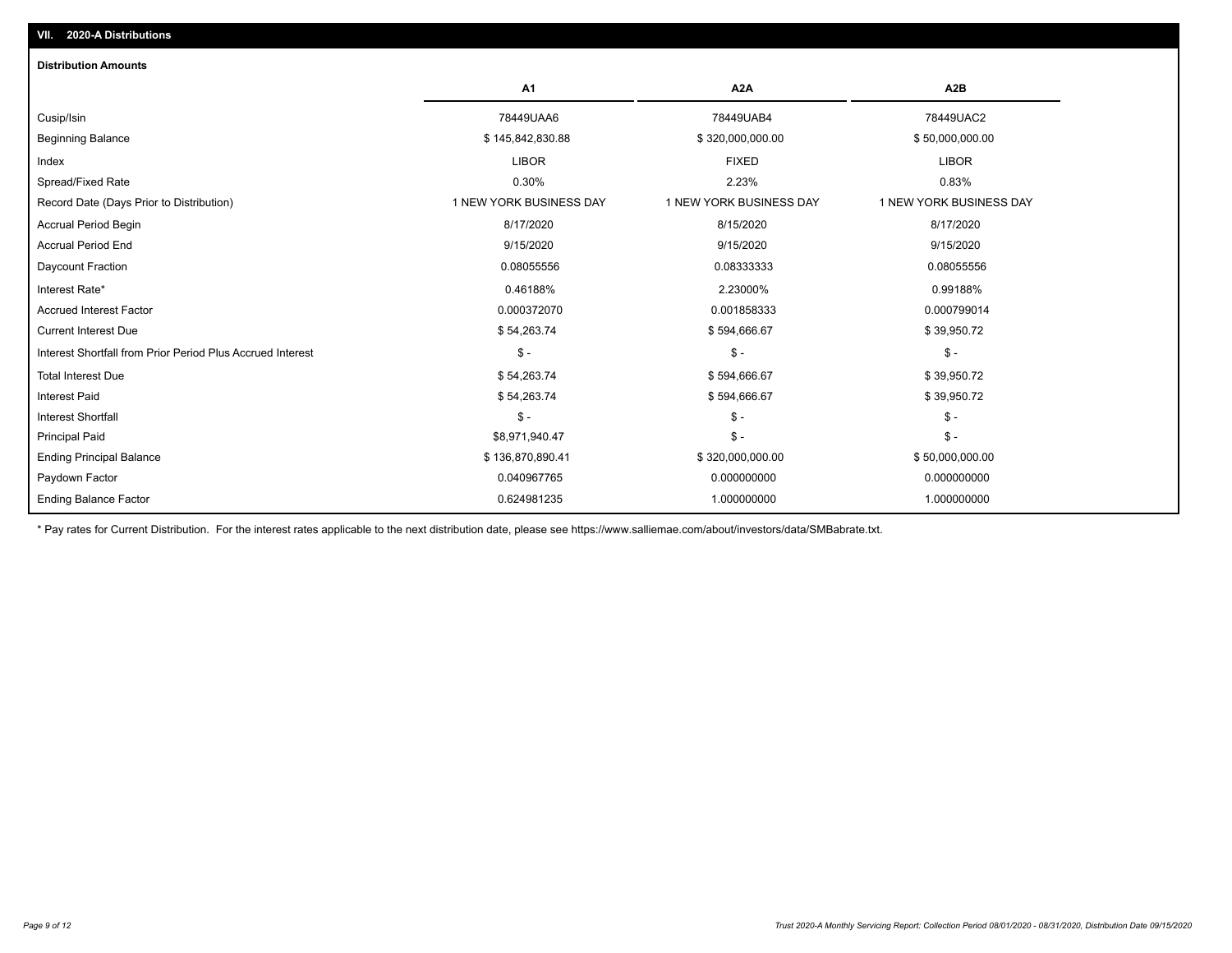| <b>Distribution Amounts</b>                                |                         |                         |                         |
|------------------------------------------------------------|-------------------------|-------------------------|-------------------------|
|                                                            | A <sub>1</sub>          | A <sub>2</sub> A        | A <sub>2</sub> B        |
| Cusip/Isin                                                 | 78449UAA6               | 78449UAB4               | 78449UAC2               |
| <b>Beginning Balance</b>                                   | \$145,842,830.88        | \$320,000,000.00        | \$50,000,000.00         |
| Index                                                      | <b>LIBOR</b>            | <b>FIXED</b>            | <b>LIBOR</b>            |
| Spread/Fixed Rate                                          | 0.30%                   | 2.23%                   | 0.83%                   |
| Record Date (Days Prior to Distribution)                   | 1 NEW YORK BUSINESS DAY | 1 NEW YORK BUSINESS DAY | 1 NEW YORK BUSINESS DAY |
| <b>Accrual Period Begin</b>                                | 8/17/2020               | 8/15/2020               | 8/17/2020               |
| <b>Accrual Period End</b>                                  | 9/15/2020               | 9/15/2020               | 9/15/2020               |
| Daycount Fraction                                          | 0.08055556              | 0.08333333              | 0.08055556              |
| Interest Rate*                                             | 0.46188%                | 2.23000%                | 0.99188%                |
| <b>Accrued Interest Factor</b>                             | 0.000372070             | 0.001858333             | 0.000799014             |
| <b>Current Interest Due</b>                                | \$54,263.74             | \$594,666.67            | \$39,950.72             |
| Interest Shortfall from Prior Period Plus Accrued Interest | $\mathsf{\$}$ -         | $\frac{1}{2}$           | $\mathsf{\$}$ -         |
| <b>Total Interest Due</b>                                  | \$54,263.74             | \$594,666.67            | \$39,950.72             |
| <b>Interest Paid</b>                                       | \$54,263.74             | \$594,666.67            | \$39,950.72             |
| Interest Shortfall                                         | $\mathsf{\$}$ -         | $\frac{1}{2}$           | $$ -$                   |
| <b>Principal Paid</b>                                      | \$8,971,940.47          | $\frac{2}{3}$ -         | $$ -$                   |
| <b>Ending Principal Balance</b>                            | \$136,870,890.41        | \$320,000,000.00        | \$50,000,000.00         |
| Paydown Factor                                             | 0.040967765             | 0.000000000             | 0.000000000             |
| <b>Ending Balance Factor</b>                               | 0.624981235             | 1.000000000             | 1.000000000             |

\* Pay rates for Current Distribution. For the interest rates applicable to the next distribution date, please see https://www.salliemae.com/about/investors/data/SMBabrate.txt.

**VII. 2020-A Distributions**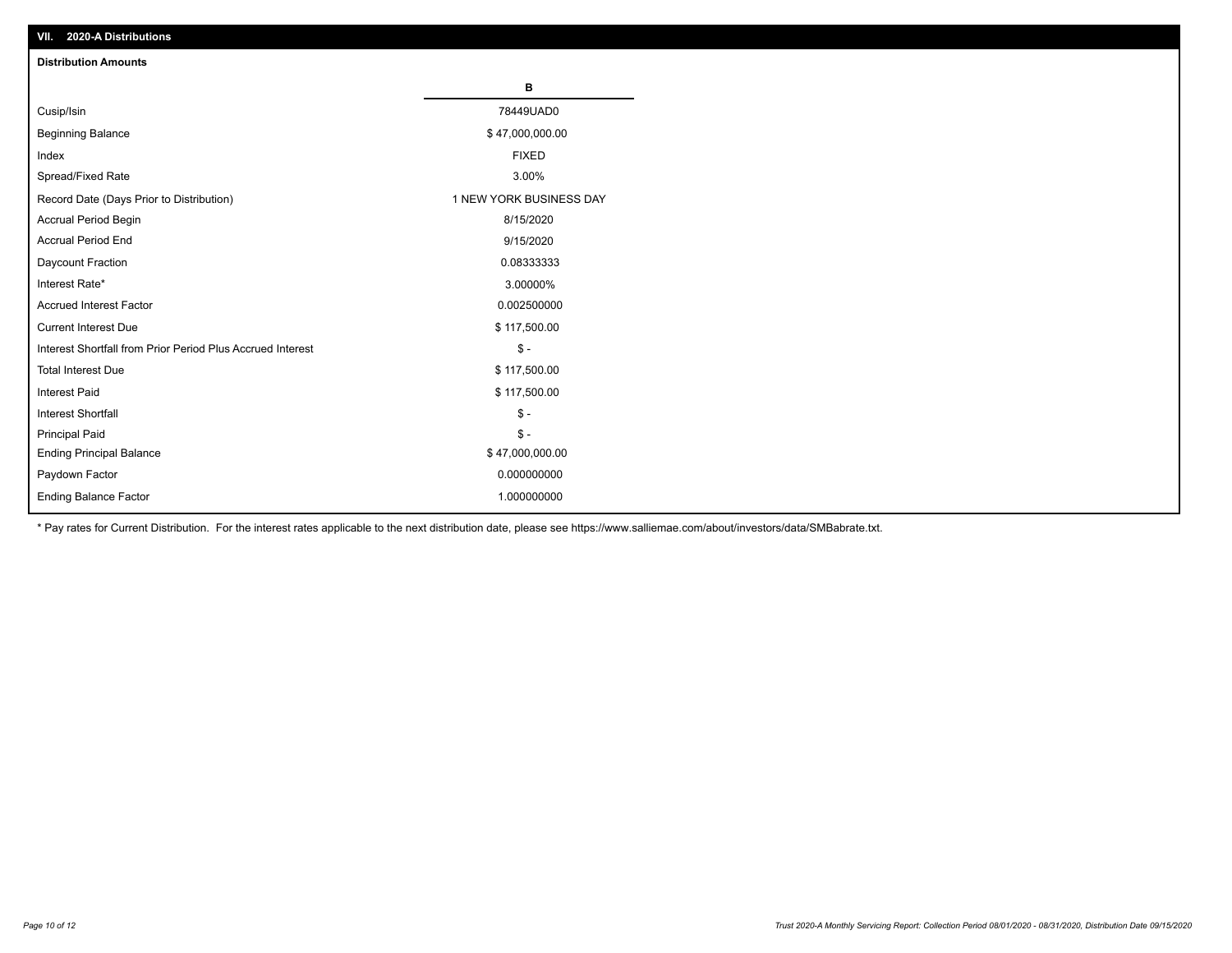| VII. 2020-A Distributions                                  |                         |
|------------------------------------------------------------|-------------------------|
| <b>Distribution Amounts</b>                                |                         |
|                                                            | В                       |
| Cusip/Isin                                                 | 78449UAD0               |
| <b>Beginning Balance</b>                                   | \$47,000,000.00         |
| Index                                                      | <b>FIXED</b>            |
| Spread/Fixed Rate                                          | 3.00%                   |
| Record Date (Days Prior to Distribution)                   | 1 NEW YORK BUSINESS DAY |
| Accrual Period Begin                                       | 8/15/2020               |
| <b>Accrual Period End</b>                                  | 9/15/2020               |
| Daycount Fraction                                          | 0.08333333              |
| Interest Rate*                                             | 3.00000%                |
| <b>Accrued Interest Factor</b>                             | 0.002500000             |
| <b>Current Interest Due</b>                                | \$117,500.00            |
| Interest Shortfall from Prior Period Plus Accrued Interest | $\mathsf{\$}$ -         |
| <b>Total Interest Due</b>                                  | \$117,500.00            |
| <b>Interest Paid</b>                                       | \$117,500.00            |
| Interest Shortfall                                         | $\mathbb{S}$ -          |
| <b>Principal Paid</b>                                      | $$ -$                   |
| <b>Ending Principal Balance</b>                            | \$47,000,000.00         |
| Paydown Factor                                             | 0.000000000             |
| <b>Ending Balance Factor</b>                               | 1.000000000             |

\* Pay rates for Current Distribution. For the interest rates applicable to the next distribution date, please see https://www.salliemae.com/about/investors/data/SMBabrate.txt.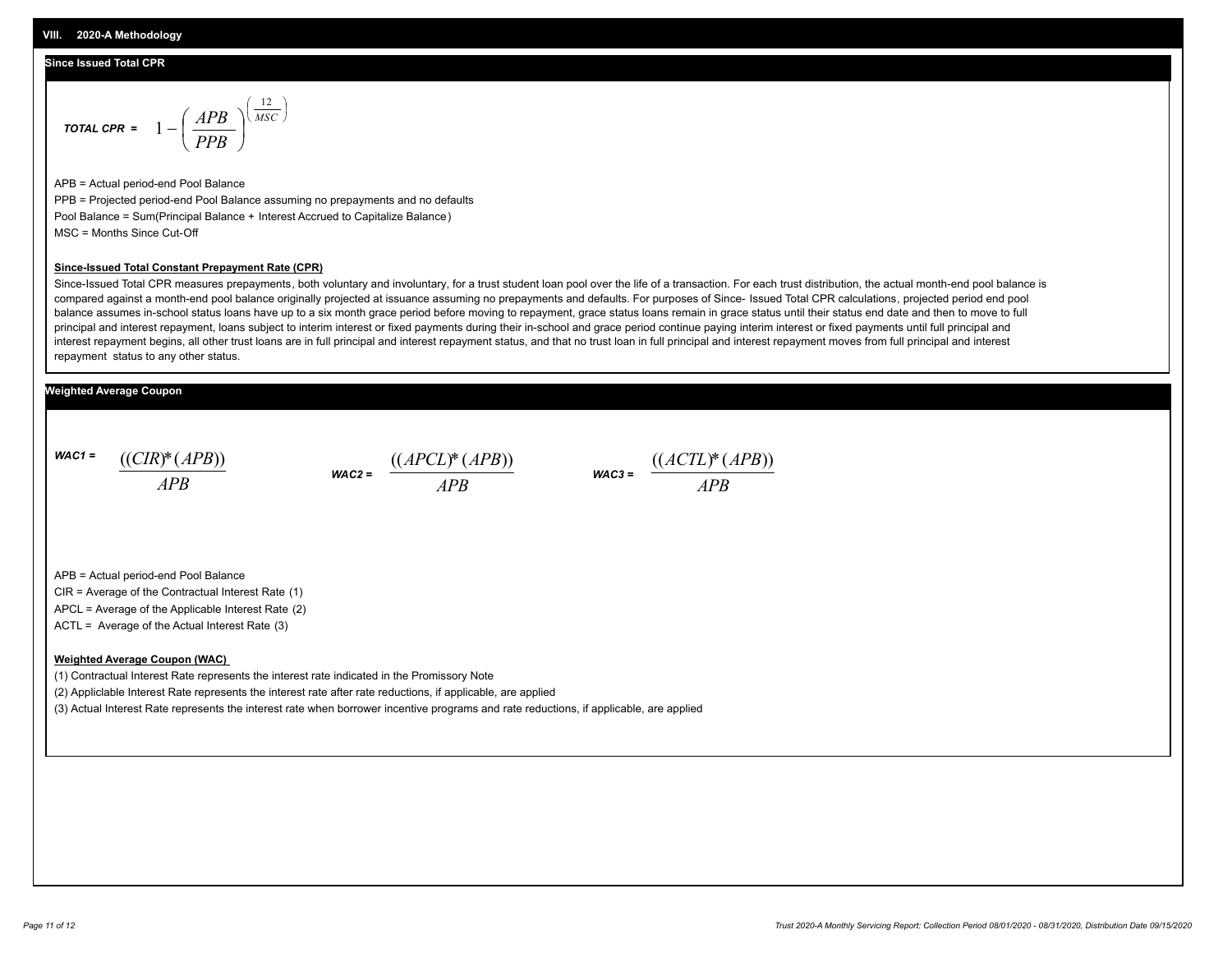#### **Since Issued Total CPR**

$$
\text{total CPR} = 1 - \left(\frac{APB}{PPB}\right)^{\left(\frac{12}{MSC}\right)}
$$

APB = Actual period-end Pool Balance PPB = Projected period-end Pool Balance assuming no prepayments and no defaults Pool Balance = Sum(Principal Balance + Interest Accrued to Capitalize Balance) MSC = Months Since Cut-Off

#### **Since-Issued Total Constant Prepayment Rate (CPR)**

Since-Issued Total CPR measures prepayments, both voluntary and involuntary, for a trust student loan pool over the life of a transaction. For each trust distribution, the actual month-end pool balance is compared against a month-end pool balance originally projected at issuance assuming no prepayments and defaults. For purposes of Since- Issued Total CPR calculations, projected period end pool balance assumes in-school status loans have up to a six month grace period before moving to repayment, grace status loans remain in grace status until their status end date and then to move to full principal and interest repayment, loans subject to interim interest or fixed payments during their in-school and grace period continue paying interim interest or fixed payments until full principal and interest repayment begins, all other trust loans are in full principal and interest repayment status, and that no trust loan in full principal and interest repayment moves from full principal and interest repayment status to any other status.

#### **Weighted Average Coupon**

*WAC1 = APB* ((*CIR*)\*(*APB*))

*WAC2 = APB*  $\frac{((APCL)^{*}(APB))}{APB}$  wac<sub>3</sub> =  $\frac{((ACTL)^{*}(A)P}{APB}$ 



APB = Actual period-end Pool Balance

CIR = Average of the Contractual Interest Rate (1)

APCL = Average of the Applicable Interest Rate (2)

ACTL = Average of the Actual Interest Rate (3)

#### **Weighted Average Coupon (WAC)**

(1) Contractual Interest Rate represents the interest rate indicated in the Promissory Note

(2) Appliclable Interest Rate represents the interest rate after rate reductions, if applicable, are applied

(3) Actual Interest Rate represents the interest rate when borrower incentive programs and rate reductions, if applicable, are applied